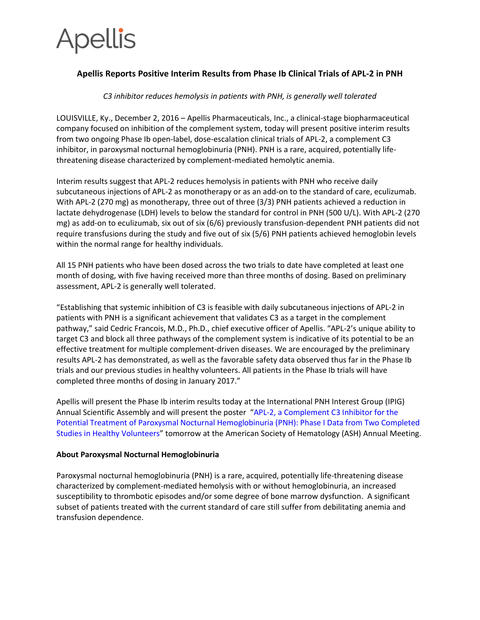# **Apellis**

# **Apellis Reports Positive Interim Results from Phase Ib Clinical Trials of APL-2 in PNH**

# *C3 inhibitor reduces hemolysis in patients with PNH, is generally well tolerated*

LOUISVILLE, Ky., December 2, 2016 – Apellis Pharmaceuticals, Inc., a clinical-stage biopharmaceutical company focused on inhibition of the complement system, today will present positive interim results from two ongoing Phase Ib open-label, dose-escalation clinical trials of APL-2, a complement C3 inhibitor, in paroxysmal nocturnal hemoglobinuria (PNH). PNH is a rare, acquired, potentially lifethreatening disease characterized by complement-mediated hemolytic anemia.

Interim results suggest that APL-2 reduces hemolysis in patients with PNH who receive daily subcutaneous injections of APL-2 as monotherapy or as an add-on to the standard of care, eculizumab. With APL-2 (270 mg) as monotherapy, three out of three (3/3) PNH patients achieved a reduction in lactate dehydrogenase (LDH) levels to below the standard for control in PNH (500 U/L). With APL-2 (270 mg) as add-on to eculizumab, six out of six (6/6) previously transfusion-dependent PNH patients did not require transfusions during the study and five out of six (5/6) PNH patients achieved hemoglobin levels within the normal range for healthy individuals.

All 15 PNH patients who have been dosed across the two trials to date have completed at least one month of dosing, with five having received more than three months of dosing. Based on preliminary assessment, APL-2 is generally well tolerated.

"Establishing that systemic inhibition of C3 is feasible with daily subcutaneous injections of APL-2 in patients with PNH is a significant achievement that validates C3 as a target in the complement pathway," said Cedric Francois, M.D., Ph.D., chief executive officer of Apellis. "APL-2's unique ability to target C3 and block all three pathways of the complement system is indicative of its potential to be an effective treatment for multiple complement-driven diseases. We are encouraged by the preliminary results APL-2 has demonstrated, as well as the favorable safety data observed thus far in the Phase Ib trials and our previous studies in healthy volunteers. All patients in the Phase Ib trials will have completed three months of dosing in January 2017."

Apellis will present the Phase Ib interim results today at the International PNH Interest Group (IPIG) Annual Scientific Assembly and will present the poster "[APL-2, a Complement C3 Inhibitor for the](https://ash.confex.com/ash/2016/webprogram/Paper90295.html)  [Potential Treatment of Paroxysmal Nocturnal Hemoglobinuria \(PNH\): Phase I Data from Two Completed](https://ash.confex.com/ash/2016/webprogram/Paper90295.html)  [Studies in Healthy Volunteers](https://ash.confex.com/ash/2016/webprogram/Paper90295.html)" tomorrow at the American Society of Hematology (ASH) Annual Meeting.

## **About Paroxysmal Nocturnal Hemoglobinuria**

Paroxysmal nocturnal hemoglobinuria (PNH) is a rare, acquired, potentially life-threatening disease characterized by complement-mediated hemolysis with or without hemoglobinuria, an increased susceptibility to thrombotic episodes and/or some degree of bone marrow dysfunction. A significant subset of patients treated with the current standard of care still suffer from debilitating anemia and transfusion dependence.